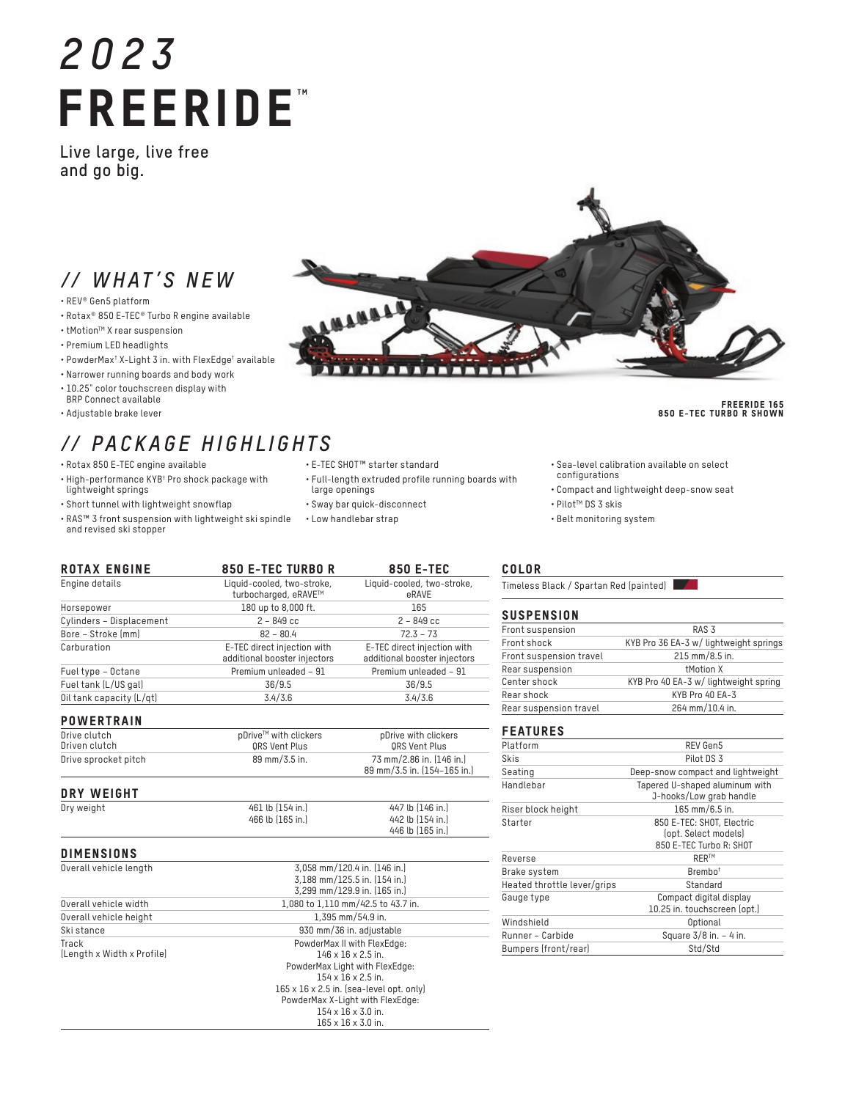# *2023* FREERIDE"

**Live large, live free and go big.**

## *// WHAT'S NEW*

- REV® Gen5 platform
- Rotax® 850 E-TEC® Turbo R engine available
- tMotion™ X rear suspension
- Premium LED headlights
- PowderMax† X-Light 3 in. with FlexEdge† available
- Narrower running boards and body work
- 10.25" color touchscreen display with BRP Connect available
- Adjustable brake lever

### *// PACKAGE HIGHLIGHTS*

- Rotax 850 E-TEC engine available
- High-performance KYB† Pro shock package with lightweight springs
- Short tunnel with lightweight snowflap
- RAS™ 3 front suspension with lightweight ski spindle and revised ski stopper
- E-TEC SHOT™ starter standard
- Full-length extruded profile running boards with large openings

Liquid-cooled, two-stroke,

89 mm/3.5 in. (154–165 in.)

- Sway bar quick-disconnect
- Low handlebar strap

• Sea-level calibration available on select configurations

FREERIDE 165 850 E-TEC TURBO R SHOWN

- Compact and lightweight deep-snow seat
- PilotTM DS 3 skis
- Belt monitoring system

| Linguio uo tuno               | Liguid coolog, the otions,<br>turbocharged, eRAVE™          | Liguia ocolog, the otions,<br>eRAVE                         |
|-------------------------------|-------------------------------------------------------------|-------------------------------------------------------------|
| Horsepower                    | 180 up to 8,000 ft.                                         | 165                                                         |
| Cylinders - Displacement      | $2 - 849$ cc                                                | $2 - 849$ cc                                                |
| Bore - Stroke (mm)            | $82 - 80.4$                                                 | $72.3 - 73$                                                 |
| Carburation                   | E-TEC direct injection with<br>additional booster injectors | E-TEC direct injection with<br>additional booster injectors |
| Fuel type - Octane            | Premium unleaded - 91                                       | Premium unleaded - 91                                       |
| Fuel tank (L/US gal)          | 36/9.5                                                      | 36/9.5                                                      |
| Oil tank capacity (L/qt)      | 3.4/3.6                                                     | 3.4/3.6                                                     |
| <b>POWERTRAIN</b>             |                                                             |                                                             |
| Drive clutch<br>Driven clutch | pDrive™ with clickers<br>ORS Vent Plus                      | pDrive with clickers<br>ORS Vent Plus                       |
| Drive sprocket pitch          | 89 mm/3.5 in.                                               | 73 mm/2.86 in. [146 in.]                                    |

ROTAX ENGINE 850 E-TEC TURBO R 850 E-TEC<br>Engine details Engine details Liquid-cooled, two-stroke,

| DRY WEIGHT |                  |                  |
|------------|------------------|------------------|
| Dry weight | 461 lb (154 in.) | 447 lb (146 in.) |
|            | 466 lb (165 in.) | 442 lb (154 in.) |
|            |                  | 446 lb (165 in.) |

| Overall vehicle length     | 3.058 mm/120.4 in. (146 in.)                         |  |
|----------------------------|------------------------------------------------------|--|
|                            | 3,188 mm/125.5 in. [154 in.]                         |  |
|                            | 3.299 mm/129.9 in. (165 in.)                         |  |
| Overall vehicle width      | 1.080 to 1.110 mm/42.5 to 43.7 in.                   |  |
| Overall vehicle height     | 1.395 mm/54.9 in.                                    |  |
| Ski stance                 | 930 mm/36 in. adjustable                             |  |
| Track                      | PowderMax II with FlexEdge:                          |  |
| (Length x Width x Profile) | $146 \times 16 \times 2.5$ in.                       |  |
|                            | PowderMax Light with FlexEdge:                       |  |
|                            | $154 \times 16 \times 2.5$ in.                       |  |
|                            | $165 \times 16 \times 2.5$ in. (sea-level opt. only) |  |
|                            | PowderMax X-Light with FlexEdge:                     |  |
|                            | $154 \times 16 \times 3.0$ in.                       |  |
|                            | $165 \times 16 \times 3.0$ in.                       |  |

### COLOR

Timeless Black / Spartan Red (painted)

#### **SUSPENSION**

| Front suspension        | RAS <sub>3</sub>                       |
|-------------------------|----------------------------------------|
| Front shock             | KYB Pro 36 EA-3 w/ lightweight springs |
| Front suspension travel | 215 mm/8.5 in.                         |
| Rear suspension         | <b>tMotion X</b>                       |
| Center shock            | KYB Pro 40 EA-3 w/ lightweight spring  |
| Rear shock              | KYB Pro 40 EA-3                        |
| Rear suspension travel  | 264 mm/10.4 in.                        |

### FEATURES

| Platform                    | REV Gen5                                                                     |
|-----------------------------|------------------------------------------------------------------------------|
| Skis                        | Pilot DS 3                                                                   |
| Seating                     | Deep-snow compact and lightweight                                            |
| Handlebar                   | Tapered U-shaped aluminum with<br>J-hooks/Low grab handle                    |
| Riser block height          | 165 mm/6.5 in.                                                               |
| Starter                     | 850 E-TEC: SHOT, Electric<br>(opt. Select models)<br>850 E-TEC Turbo R: SHOT |
| Reverse                     | RER™                                                                         |
| Brake system                | Brembo <sup>t</sup>                                                          |
| Heated throttle lever/grips | Standard                                                                     |
| Gauge type                  | Compact digital display<br>10.25 in. touchscreen (opt.)                      |
| Windshield                  | Optional                                                                     |
| Runner - Carbide            | Square $3/8$ in. $-4$ in.                                                    |
| Bumpers (front/rear)        | Std/Std                                                                      |